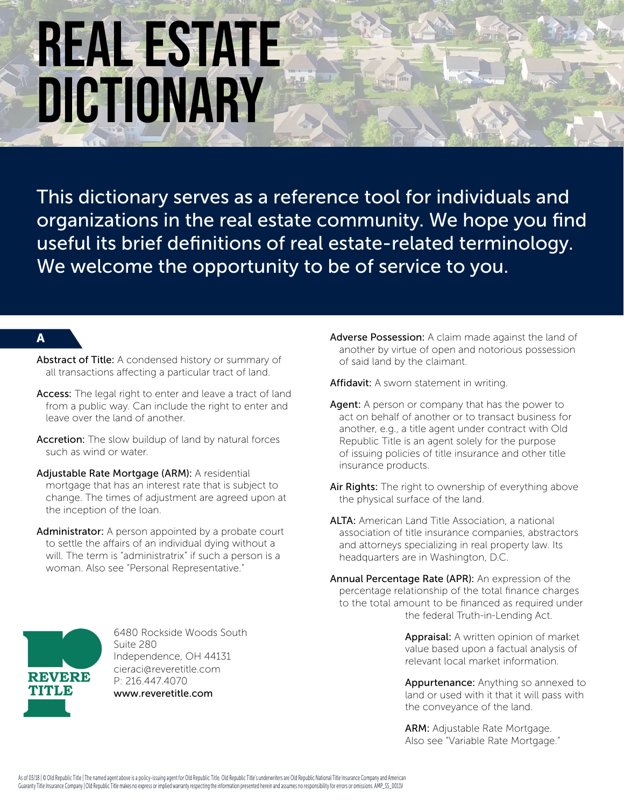This dictionary serves as a reference tool for individuals and organizations in the real estate community. We hope you find useful its brief definitions of real estate-related terminology. We welcome the opportunity to be of service to you.

### A

- Abstract of Title: A condensed history or summary of all transactions affecting a particular tract of land.
- Access: The legal right to enter and leave a tract of land from a public way. Can include the right to enter and leave over the land of another.
- Accretion: The slow buildup of land by natural forces such as wind or water.
- Adjustable Rate Mortgage (ARM): A residential mortgage that has an interest rate that is subject to change. The times of adjustment are agreed upon at the inception of the loan.
- Administrator: A person appointed by a probate court to settle the affairs of an individual dying without a will. The term is "administratrix" if such a person is a woman. Also see "Personal Representative."
- **REVERE TITLE**

6480 Rockside Woods South Suite 280 Independence, OH 44131 cieraci@reveretitle.com P: 216.447.4070 www.reveretitle.com

Adverse Possession: A claim made against the land of another by virtue of open and notorious possession of said land by the claimant.

Affidavit: A sworn statement in writing.

- Agent: A person or company that has the power to act on behalf of another or to transact business for another, e.g., a title agent under contract with Old Republic Title is an agent solely for the purpose of issuing policies of title insurance and other title insurance products.
- Air Rights: The right to ownership of everything above the physical surface of the land.
- ALTA: American Land Title Association, a national association of title insurance companies, abstractors and attorneys specializing in real property law. Its headquarters are in Washington, D.C.
- Annual Percentage Rate (APR): An expression of the percentage relationship of the total finance charges to the total amount to be financed as required under the federal Truth-in-Lending Act.

Appraisal: A written opinion of market value based upon a factual analysis of relevant local market information.

Appurtenance: Anything so annexed to land or used with it that it will pass with the conveyance of the land.

ARM: Adjustable Rate Mortgage. Also see "Variable Rate Mortgage."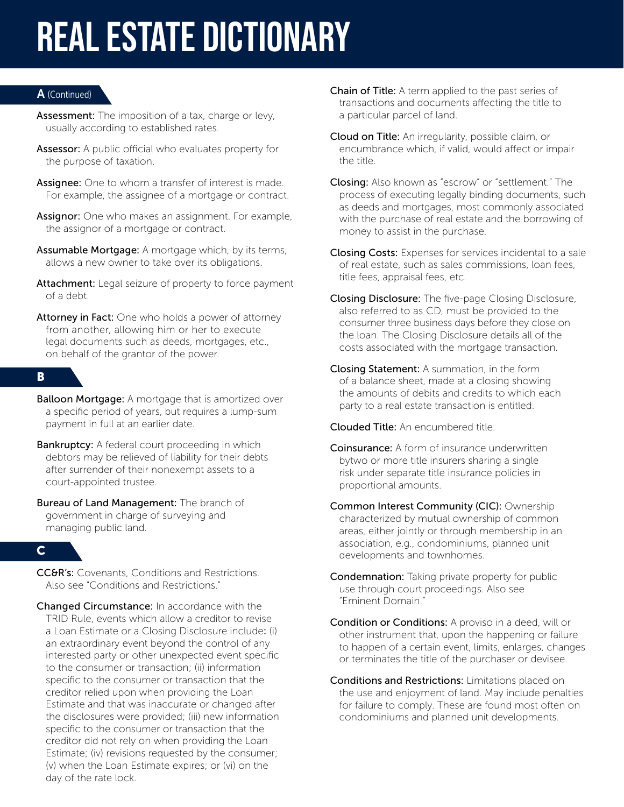#### A (Continued)

- Assessment: The imposition of a tax, charge or levy, usually according to established rates.
- Assessor: A public official who evaluates property for the purpose of taxation.
- Assignee: One to whom a transfer of interest is made. For example, the assignee of a mortgage or contract.
- Assignor: One who makes an assignment. For example, the assignor of a mortgage or contract.
- Assumable Mortgage: A mortgage which, by its terms, allows a new owner to take over its obligations.
- Attachment: Legal seizure of property to force payment of a debt.
- Attorney in Fact: One who holds a power of attorney from another, allowing him or her to execute legal documents such as deeds, mortgages, etc., on behalf of the grantor of the power.

#### B

- **Balloon Mortgage:** A mortgage that is amortized over a specific period of years, but requires a lump-sum payment in full at an earlier date.
- Bankruptcy: A federal court proceeding in which debtors may be relieved of liability for their debts after surrender of their nonexempt assets to a court-appointed trustee.
- Bureau of Land Management: The branch of government in charge of surveying and managing public land.

#### C

- CC&R's: Covenants, Conditions and Restrictions. Also see "Conditions and Restrictions."
- Changed Circumstance: In accordance with the TRID Rule, events which allow a creditor to revise a Loan Estimate or a Closing Disclosure include: (i) an extraordinary event beyond the control of any interested party or other unexpected event specific to the consumer or transaction; (ii) information specific to the consumer or transaction that the creditor relied upon when providing the Loan Estimate and that was inaccurate or changed after the disclosures were provided; (iii) new information specific to the consumer or transaction that the creditor did not rely on when providing the Loan Estimate; (iv) revisions requested by the consumer; (v) when the Loan Estimate expires; or (vi) on the day of the rate lock.
- Chain of Title: A term applied to the past series of transactions and documents affecting the title to a particular parcel of land.
- Cloud on Title: An irregularity, possible claim, or encumbrance which, if valid, would affect or impair the title.
- Closing: Also known as "escrow" or "settlement." The process of executing legally binding documents, such as deeds and mortgages, most commonly associated with the purchase of real estate and the borrowing of money to assist in the purchase.
- Closing Costs: Expenses for services incidental to a sale of real estate, such as sales commissions, loan fees, title fees, appraisal fees, etc.
- Closing Disclosure: The five-page Closing Disclosure, also referred to as CD, must be provided to the consumer three business days before they close on the loan. The Closing Disclosure details all of the costs associated with the mortgage transaction.
- Closing Statement: A summation, in the form of a balance sheet, made at a closing showing the amounts of debits and credits to which each party to a real estate transaction is entitled.

Clouded Title: An encumbered title.

- Coinsurance: A form of insurance underwritten bytwo or more title insurers sharing a single risk under separate title insurance policies in proportional amounts.
- Common Interest Community (CIC): Ownership characterized by mutual ownership of common areas, either jointly or through membership in an association, e.g., condominiums, planned unit developments and townhomes.
- Condemnation: Taking private property for public use through court proceedings. Also see "Eminent Domain."
- Condition or Conditions: A proviso in a deed, will or other instrument that, upon the happening or failure to happen of a certain event, limits, enlarges, changes or terminates the title of the purchaser or devisee.
- Conditions and Restrictions: Limitations placed on the use and enjoyment of land. May include penalties for failure to comply. These are found most often on condominiums and planned unit developments.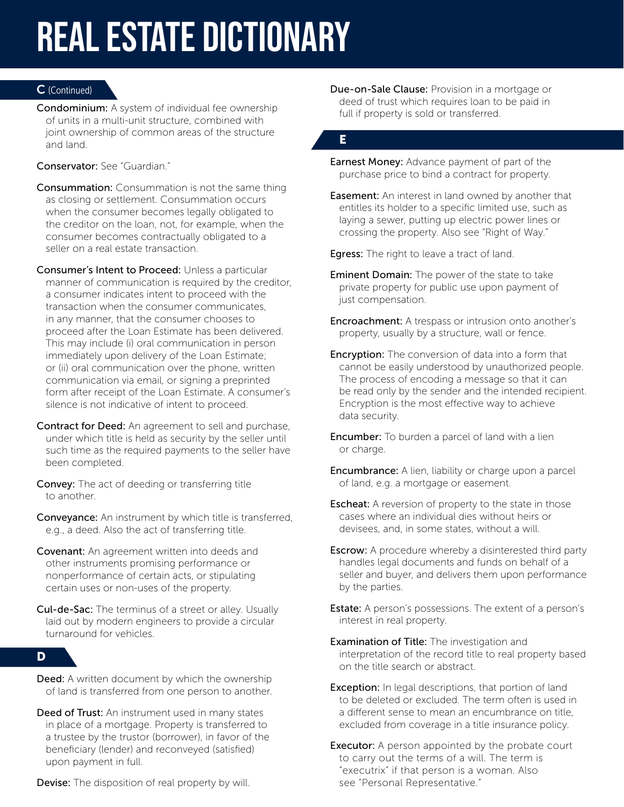#### C (Continued)

Condominium: A system of individual fee ownership of units in a multi-unit structure, combined with joint ownership of common areas of the structure and land.

#### Conservator: See "Guardian."

- Consummation: Consummation is not the same thing as closing or settlement. Consummation occurs when the consumer becomes legally obligated to the creditor on the loan, not, for example, when the consumer becomes contractually obligated to a seller on a real estate transaction.
- Consumer's Intent to Proceed: Unless a particular manner of communication is required by the creditor, a consumer indicates intent to proceed with the transaction when the consumer communicates, in any manner, that the consumer chooses to proceed after the Loan Estimate has been delivered. This may include (i) oral communication in person immediately upon delivery of the Loan Estimate; or (ii) oral communication over the phone, written communication via email, or signing a preprinted form after receipt of the Loan Estimate. A consumer's silence is not indicative of intent to proceed.
- Contract for Deed: An agreement to sell and purchase, under which title is held as security by the seller until such time as the required payments to the seller have been completed.
- Convey: The act of deeding or transferring title to another.
- Conveyance: An instrument by which title is transferred, e.g., a deed. Also the act of transferring title.
- Covenant: An agreement written into deeds and other instruments promising performance or nonperformance of certain acts, or stipulating certain uses or non-uses of the property.
- **Cul-de-Sac:** The terminus of a street or alley. Usually laid out by modern engineers to provide a circular turnaround for vehicles.

#### D

- **Deed:** A written document by which the ownership of land is transferred from one person to another.
- Deed of Trust: An instrument used in many states in place of a mortgage. Property is transferred to a trustee by the trustor (borrower), in favor of the beneficiary (lender) and reconveyed (satisfied) upon payment in full.

**Devise:** The disposition of real property by will.

Due-on-Sale Clause: Provision in a mortgage or deed of trust which requires loan to be paid in full if property is sold or transferred.

# E

**Earnest Money:** Advance payment of part of the purchase price to bind a contract for property.

**Easement:** An interest in land owned by another that entitles its holder to a specific limited use, such as laying a sewer, putting up electric power lines or crossing the property. Also see "Right of Way."

**Egress:** The right to leave a tract of land.

- **Eminent Domain:** The power of the state to take private property for public use upon payment of just compensation.
- **Encroachment:** A trespass or intrusion onto another's property, usually by a structure, wall or fence.
- **Encryption:** The conversion of data into a form that cannot be easily understood by unauthorized people. The process of encoding a message so that it can be read only by the sender and the intended recipient. Encryption is the most effective way to achieve data security.
- **Encumber:** To burden a parcel of land with a lien or charge.
- **Encumbrance:** A lien, liability or charge upon a parcel of land, e.g. a mortgage or easement.
- **Escheat:** A reversion of property to the state in those cases where an individual dies without heirs or devisees, and, in some states, without a will.
- **Escrow:** A procedure whereby a disinterested third party handles legal documents and funds on behalf of a seller and buyer, and delivers them upon performance by the parties.
- **Estate:** A person's possessions. The extent of a person's interest in real property.
- **Examination of Title:** The investigation and interpretation of the record title to real property based on the title search or abstract.
- **Exception:** In legal descriptions, that portion of land to be deleted or excluded. The term often is used in a different sense to mean an encumbrance on title, excluded from coverage in a title insurance policy.
- **Executor:** A person appointed by the probate court to carry out the terms of a will. The term is "executrix" if that person is a woman. Also see "Personal Representative."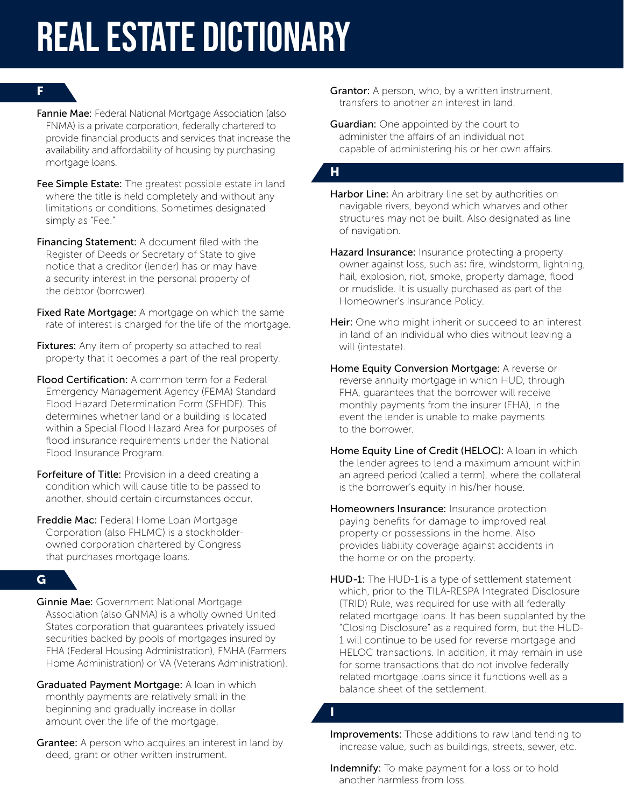### F

- Fannie Mae: Federal National Mortgage Association (also FNMA) is a private corporation, federally chartered to provide financial products and services that increase the availability and affordability of housing by purchasing mortgage loans.
- Fee Simple Estate: The greatest possible estate in land where the title is held completely and without any limitations or conditions. Sometimes designated simply as "Fee."
- Financing Statement: A document filed with the Register of Deeds or Secretary of State to give notice that a creditor (lender) has or may have a security interest in the personal property of the debtor (borrower).
- Fixed Rate Mortgage: A mortgage on which the same rate of interest is charged for the life of the mortgage.
- Fixtures: Any item of property so attached to real property that it becomes a part of the real property.
- Flood Certification: A common term for a Federal Emergency Management Agency (FEMA) Standard Flood Hazard Determination Form (SFHDF). This determines whether land or a building is located within a Special Flood Hazard Area for purposes of flood insurance requirements under the National Flood Insurance Program.
- Forfeiture of Title: Provision in a deed creating a condition which will cause title to be passed to another, should certain circumstances occur.
- Freddie Mac: Federal Home Loan Mortgage Corporation (also FHLMC) is a stockholderowned corporation chartered by Congress that purchases mortgage loans.

# G

- Ginnie Mae: Government National Mortgage Association (also GNMA) is a wholly owned United States corporation that guarantees privately issued securities backed by pools of mortgages insured by FHA (Federal Housing Administration), FMHA (Farmers Home Administration) or VA (Veterans Administration).
- Graduated Payment Mortgage: A loan in which monthly payments are relatively small in the beginning and gradually increase in dollar amount over the life of the mortgage.
- Grantee: A person who acquires an interest in land by deed, grant or other written instrument.

Grantor: A person, who, by a written instrument, transfers to another an interest in land.

**Guardian:** One appointed by the court to administer the affairs of an individual not capable of administering his or her own affairs.

# H

- Harbor Line: An arbitrary line set by authorities on navigable rivers, beyond which wharves and other structures may not be built. Also designated as line of navigation.
- Hazard Insurance: Insurance protecting a property owner against loss, such as: fire, windstorm, lightning, hail, explosion, riot, smoke, property damage, flood or mudslide. It is usually purchased as part of the Homeowner's Insurance Policy.
- Heir: One who might inherit or succeed to an interest in land of an individual who dies without leaving a will (intestate).
- Home Equity Conversion Mortgage: A reverse or reverse annuity mortgage in which HUD, through FHA, guarantees that the borrower will receive monthly payments from the insurer (FHA), in the event the lender is unable to make payments to the borrower.
- Home Equity Line of Credit (HELOC): A loan in which the lender agrees to lend a maximum amount within an agreed period (called a term), where the collateral is the borrower's equity in his/her house.
- Homeowners Insurance: Insurance protection paying benefits for damage to improved real property or possessions in the home. Also provides liability coverage against accidents in the home or on the property.
- HUD-1: The HUD-1 is a type of settlement statement which, prior to the TILA-RESPA Integrated Disclosure (TRID) Rule, was required for use with all federally related mortgage loans. It has been supplanted by the "Closing Disclosure" as a required form, but the HUD-1 will continue to be used for reverse mortgage and HELOC transactions. In addition, it may remain in use for some transactions that do not involve federally related mortgage loans since it functions well as a balance sheet of the settlement.

I

Improvements: Those additions to raw land tending to increase value, such as buildings, streets, sewer, etc.

Indemnify: To make payment for a loss or to hold another harmless from loss.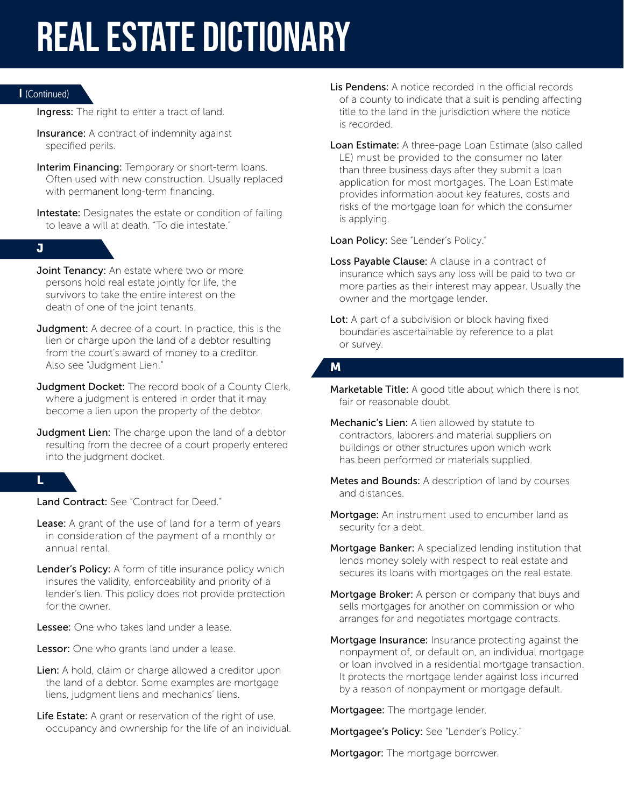#### I (Continued)

Ingress: The right to enter a tract of land.

- **Insurance:** A contract of indemnity against specified perils.
- Interim Financing: Temporary or short-term loans. Often used with new construction. Usually replaced with permanent long-term financing.
- Intestate: Designates the estate or condition of failing to leave a will at death. "To die intestate."

#### J

- Joint Tenancy: An estate where two or more persons hold real estate jointly for life, the survivors to take the entire interest on the death of one of the joint tenants.
- **Judgment:** A decree of a court. In practice, this is the lien or charge upon the land of a debtor resulting from the court's award of money to a creditor. Also see "Judgment Lien."
- Judgment Docket: The record book of a County Clerk, where a judgment is entered in order that it may become a lien upon the property of the debtor.
- Judgment Lien: The charge upon the land of a debtor resulting from the decree of a court properly entered into the judgment docket.

### L

Land Contract: See "Contract for Deed."

- Lease: A grant of the use of land for a term of years in consideration of the payment of a monthly or annual rental.
- Lender's Policy: A form of title insurance policy which insures the validity, enforceability and priority of a lender's lien. This policy does not provide protection for the owner.
- Lessee: One who takes land under a lease.
- Lessor: One who grants land under a lease.
- Lien: A hold, claim or charge allowed a creditor upon the land of a debtor. Some examples are mortgage liens, judgment liens and mechanics' liens.
- Life Estate: A grant or reservation of the right of use, occupancy and ownership for the life of an individual.
- Lis Pendens: A notice recorded in the official records of a county to indicate that a suit is pending affecting title to the land in the jurisdiction where the notice is recorded.
- Loan Estimate: A three-page Loan Estimate (also called LE) must be provided to the consumer no later than three business days after they submit a loan application for most mortgages. The Loan Estimate provides information about key features, costs and risks of the mortgage loan for which the consumer is applying.

Loan Policy: See "Lender's Policy."

- Loss Payable Clause: A clause in a contract of insurance which says any loss will be paid to two or more parties as their interest may appear. Usually the owner and the mortgage lender.
- Lot: A part of a subdivision or block having fixed boundaries ascertainable by reference to a plat or survey.

# M

- **Marketable Title:** A good title about which there is not fair or reasonable doubt.
- Mechanic's Lien: A lien allowed by statute to contractors, laborers and material suppliers on buildings or other structures upon which work has been performed or materials supplied.
- Metes and Bounds: A description of land by courses and distances.
- Mortgage: An instrument used to encumber land as security for a debt.
- Mortgage Banker: A specialized lending institution that lends money solely with respect to real estate and secures its loans with mortgages on the real estate.
- Mortgage Broker: A person or company that buys and sells mortgages for another on commission or who arranges for and negotiates mortgage contracts.
- Mortgage Insurance: Insurance protecting against the nonpayment of, or default on, an individual mortgage or loan involved in a residential mortgage transaction. It protects the mortgage lender against loss incurred by a reason of nonpayment or mortgage default.

Mortgagee: The mortgage lender.

Mortgagee's Policy: See "Lender's Policy."

Mortgagor: The mortgage borrower.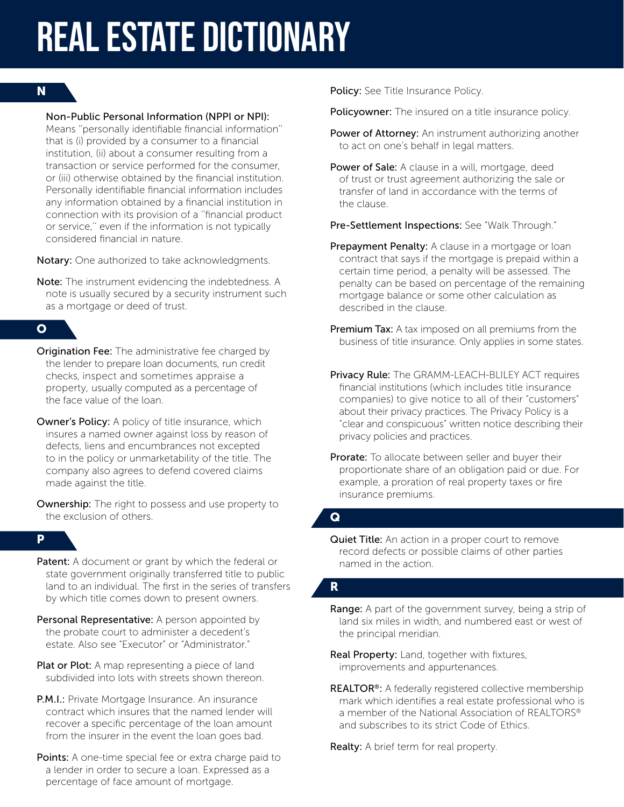#### N

#### Non-Public Personal Information (NPPI or NPI):

Means ''personally identifiable financial information'' that is (i) provided by a consumer to a financial institution, (ii) about a consumer resulting from a transaction or service performed for the consumer, or (iii) otherwise obtained by the financial institution. Personally identifiable financial information includes any information obtained by a financial institution in connection with its provision of a ''financial product or service,'' even if the information is not typically considered financial in nature.

Notary: One authorized to take acknowledgments.

Note: The instrument evidencing the indebtedness. A note is usually secured by a security instrument such as a mortgage or deed of trust.

### O

- **Origination Fee:** The administrative fee charged by the lender to prepare loan documents, run credit checks, inspect and sometimes appraise a property, usually computed as a percentage of the face value of the loan.
- **Owner's Policy:** A policy of title insurance, which insures a named owner against loss by reason of defects, liens and encumbrances not excepted to in the policy or unmarketability of the title. The company also agrees to defend covered claims made against the title.
- Ownership: The right to possess and use property to the exclusion of others.

### P

- **Patent:** A document or grant by which the federal or state government originally transferred title to public land to an individual. The first in the series of transfers by which title comes down to present owners.
- Personal Representative: A person appointed by the probate court to administer a decedent's estate. Also see "Executor" or "Administrator."
- Plat or Plot: A map representing a piece of land subdivided into lots with streets shown thereon.
- P.M.I.: Private Mortgage Insurance. An insurance contract which insures that the named lender will recover a specific percentage of the loan amount from the insurer in the event the loan goes bad.
- Points: A one-time special fee or extra charge paid to a lender in order to secure a loan. Expressed as a percentage of face amount of mortgage.

Policy: See Title Insurance Policy.

Policyowner: The insured on a title insurance policy.

- Power of Attorney: An instrument authorizing another to act on one's behalf in legal matters.
- Power of Sale: A clause in a will, mortgage, deed of trust or trust agreement authorizing the sale or transfer of land in accordance with the terms of the clause.

Pre-Settlement Inspections: See "Walk Through."

- Prepayment Penalty: A clause in a mortgage or loan contract that says if the mortgage is prepaid within a certain time period, a penalty will be assessed. The penalty can be based on percentage of the remaining mortgage balance or some other calculation as described in the clause.
- Premium Tax: A tax imposed on all premiums from the business of title insurance. Only applies in some states.
- Privacy Rule: The GRAMM-LEACH-BLILEY ACT requires financial institutions (which includes title insurance companies) to give notice to all of their "customers" about their privacy practices. The Privacy Policy is a "clear and conspicuous" written notice describing their privacy policies and practices.
- **Prorate:** To allocate between seller and buyer their proportionate share of an obligation paid or due. For example, a proration of real property taxes or fire insurance premiums.

#### $\overline{\mathbf{Q}}$

Quiet Title: An action in a proper court to remove record defects or possible claims of other parties named in the action.

#### R

- **Range:** A part of the government survey, being a strip of land six miles in width, and numbered east or west of the principal meridian.
- Real Property: Land, together with fixtures, improvements and appurtenances.
- REALTOR<sup>®</sup>: A federally registered collective membership mark which identifies a real estate professional who is a member of the National Association of REALTORS® and subscribes to its strict Code of Ethics.

Realty: A brief term for real property.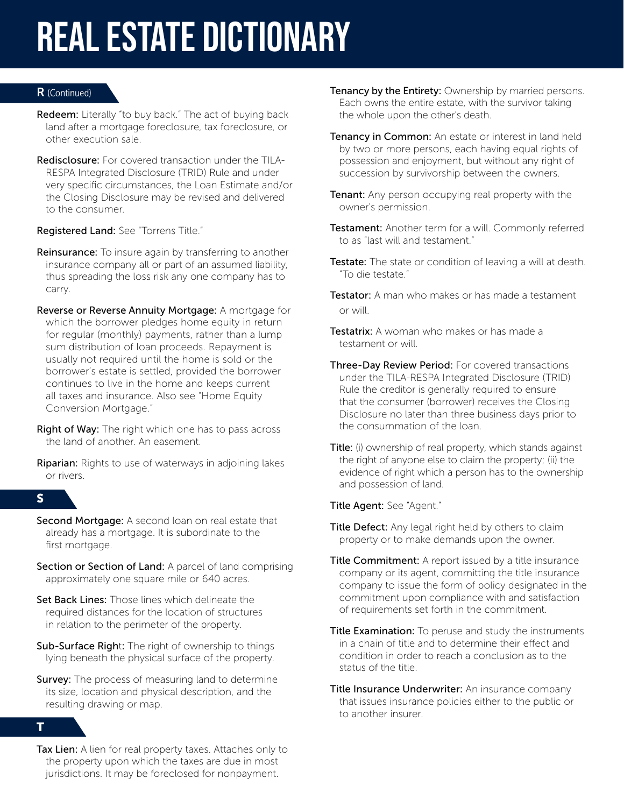### R (Continued)

- Redeem: Literally "to buy back." The act of buying back land after a mortgage foreclosure, tax foreclosure, or other execution sale.
- Redisclosure: For covered transaction under the TILA-RESPA Integrated Disclosure (TRID) Rule and under very specific circumstances, the Loan Estimate and/or the Closing Disclosure may be revised and delivered to the consumer.

Registered Land: See "Torrens Title."

- **Reinsurance:** To insure again by transferring to another insurance company all or part of an assumed liability, thus spreading the loss risk any one company has to carry.
- Reverse or Reverse Annuity Mortgage: A mortgage for which the borrower pledges home equity in return for regular (monthly) payments, rather than a lump sum distribution of loan proceeds. Repayment is usually not required until the home is sold or the borrower's estate is settled, provided the borrower continues to live in the home and keeps current all taxes and insurance. Also see "Home Equity Conversion Mortgage."
- **Right of Way:** The right which one has to pass across the land of another. An easement.
- **Riparian:** Rights to use of waterways in adjoining lakes or rivers.

# S

- Second Mortgage: A second loan on real estate that already has a mortgage. It is subordinate to the first mortgage.
- Section or Section of Land: A parcel of land comprising approximately one square mile or 640 acres.
- Set Back Lines: Those lines which delineate the required distances for the location of structures in relation to the perimeter of the property.
- Sub-Surface Right: The right of ownership to things lying beneath the physical surface of the property.
- **Survey:** The process of measuring land to determine its size, location and physical description, and the resulting drawing or map.

#### T

Tax Lien: A lien for real property taxes. Attaches only to the property upon which the taxes are due in most jurisdictions. It may be foreclosed for nonpayment.

- **Tenancy by the Entirety:** Ownership by married persons. Each owns the entire estate, with the survivor taking the whole upon the other's death.
- **Tenancy in Common:** An estate or interest in land held by two or more persons, each having equal rights of possession and enjoyment, but without any right of succession by survivorship between the owners.
- Tenant: Any person occupying real property with the owner's permission.
- Testament: Another term for a will. Commonly referred to as "last will and testament."
- Testate: The state or condition of leaving a will at death. "To die testate."
- **Testator:** A man who makes or has made a testament or will.
- **Testatrix:** A woman who makes or has made a testament or will.
- Three-Day Review Period: For covered transactions under the TILA-RESPA Integrated Disclosure (TRID) Rule the creditor is generally required to ensure that the consumer (borrower) receives the Closing Disclosure no later than three business days prior to the consummation of the loan.
- Title: (i) ownership of real property, which stands against the right of anyone else to claim the property; (ii) the evidence of right which a person has to the ownership and possession of land.

Title Agent: See "Agent."

- Title Defect: Any legal right held by others to claim property or to make demands upon the owner.
- Title Commitment: A report issued by a title insurance company or its agent, committing the title insurance company to issue the form of policy designated in the commitment upon compliance with and satisfaction of requirements set forth in the commitment.
- Title Examination: To peruse and study the instruments in a chain of title and to determine their effect and condition in order to reach a conclusion as to the status of the title.
- Title Insurance Underwriter: An insurance company that issues insurance policies either to the public or to another insurer.